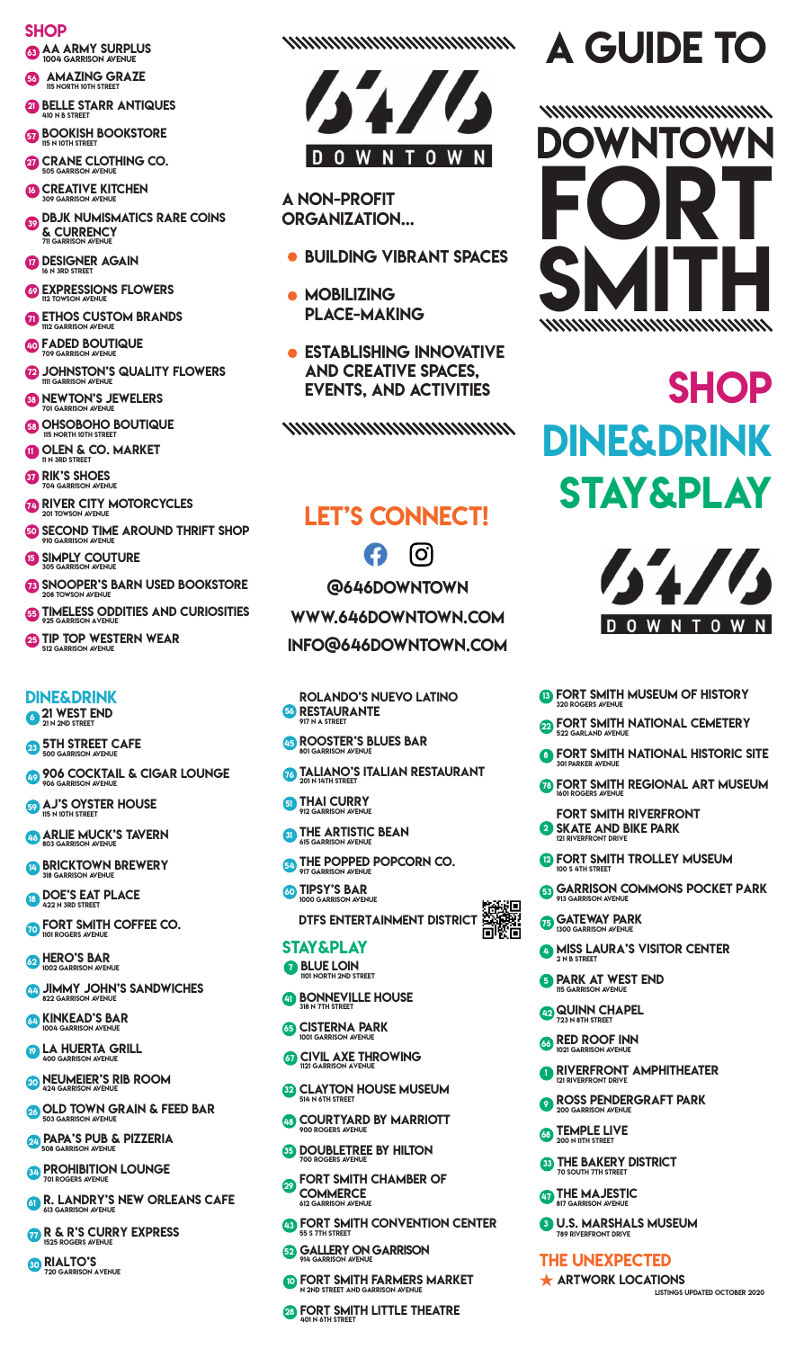#### **SHOP**

**53 AA ARMY SURPLUS** 

- **63** AMAZING GRAZE
- **BELLE STARR ANTIQUES**
- **67 BOOKISH BOOKSTORE**
- **OD** CRANE CLOTHING CO.
- **CO CREATIVE KITCHEN**
- **DBJK NUMISMATICS RARE COINS** & CURRENCY
- **DESIGNER AGAIN**
- **CO EXPRESSIONS FLOWERS**
- **THOS CUSTOM BRANDS**
- **40 FADED BOUTIQUE**
- **B** JOHNSTON'S QUALITY FLOWERS
- **83 NEWTON'S JEWELERS**
- **63 OHSOBOHO BOUTIQUE**
- OLEN & CO. MARKET
- **67 RIK'S SHOES**
- **TO RIVER CITY MOTORCYCLES**
- **60 SECOND TIME AROUND THRIFT SHOP**
- **B** SIMPLY COUTURE
- **B SNOOPER'S BARN USED BOOKSTORE**
- **45 TIMELESS ODDITIES AND CURIOSITIES**
- 25 TIP TOP WESTERN WEAR

#### **DINE&DRINK**

<sup>21</sup> WEST END

- **23 5TH STREET CAFE**
- 49 906 COCKTAIL & CIGAR LOUNGE
- **69 AJ'S OYSTER HOUSE**
- **ARLIE MUCK'S TAVERN**
- **BRICKTOWN BREWERY**
- **B DOE'S EAT PLACE**
- **O FORT SMITH COFFEE CO.**
- **BAR**<br>**1002 GARRISON AVENUE**
- **AD JIMMY JOHN'S SANDWICHES**
- **64 KINKEAD'S BAR**
- **D** LA HUERTA GRILL
- **OD NEUMEIER'S RIB ROOM**
- 23 OLD TOWN GRAIN & FEED BAR
- **24 PAPA'S PUB & PIZZERIA**
- **SAP PROHIBITION LOUNGE**
- **61 R. LANDRY'S NEW ORLEANS CAFE**
- **TR & R'S CURRY EXPRESS**
- **30 RIALTO'S**

www.www.www.ww



#### **A NON-PROFIT ORGANIZATION...**

- BUILDING VIBRANT SPACES
- · MOBILIZING **PLACE-MAKING**
- ESTABLISHING INNOVATIVE **AND CREATIVE SPACES. EVENTS, AND ACTIVITIES**

wwwwwwwwwww

### **LET'S CONNECT!**

 $[O]$ C<sub>3</sub> **@646DOWNTOWN** WWW.646DOWNTOWN.COM INFO@646DOWNTOWN.COM

- **ROLANDO'S NUEVO LATINO 66 RESTAURANTE**
- 45 ROOSTER'S BLUES BAR
- **TALIANO'S ITALIAN RESTAURANT**
- **51 THAI CURRY**
- **61** THE ARTISTIC BEAN
- **En THE POPPED POPCORN CO.**
- **6** TIPSY'S BAR <u>대화대</u><br>DTFS ENTERTAINMENT DISTRICT<br>미있다

#### **STAY&PLAY**

- **BLUE LOIN** .<br>TRFFT
- **69 BONNEVILLE HOUSE**
- **65 CISTERNA PARK**
- **67 CIVIL AXE THROWING**
- **CLAYTON HOUSE MUSEUM**
- **COURTYARD BY MARRIOTT**
- **85 DOUBLETREE BY HILTON**
- **OD FORT SMITH CHAMBER OF COMMERCE**
- **B** FORT SMITH CONVENTION CENTER
- **59 GALLERY ON GARRISON**
- **ID FORT SMITH FARMERS MARKET**
- **23 FORT SMITH LITTLE THEATRE**

# **A GUIDE TO**



## **SHOP DINE&DRINK STAY&PLAY**



- **B FORT SMITH MUSEUM OF HISTORY**
- **PORT SMITH NATIONAL CEMETERY**
- **8 FORT SMITH NATIONAL HISTORIC SITE**
- **TO FORT SMITH REGIONAL ART MUSEUM**
- **FORT SMITH RIVERFRONT** SKATE AND BIKE PARK
- **P FORT SMITH TROLLEY MUSEUM**
- **63 GARRISON COMMONS POCKET PARK**
- GATEWAY PARK
- **4 MISS LAURA'S VISITOR CENTER**
- **5 PARK AT WEST END**
- 42 QUINN CHAPEL
- **B** RED ROOF INN
- RIVERFRONT AMPHITHEATER
- **O ROSS PENDERGRAFT PARK**
- **63 TEMPLE LIVE**
- **83 THE BAKERY DISTRICT**
- **THE MAJESTIC**
- **8** U.S. MARSHALS MUSEUM

#### **THE UNEXPECTED**

**ARTWORK LOCATIONS**